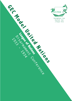

Seunghoon Lee Hannah Seo

**League of Nations** 

1933 - 1933 - 1933

Disarement Conference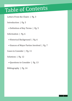## Table of Contents

Letters From the Chairs | Pg. 3

Introduction | Pg. 5

• Definition of Key Terms | Pg. 5

Information | Pg. 6

• Historical Background | Pg. 6

• Stances of Major Parties Involved | Pg. 7

Cases to Consider | Pg. 11

Solutions | Pg. 12

• Questions to Consider | Pg. 13

Bibliography | Pg. 14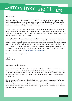# Letters from the Chairs

Dear delegates,

Welcome to the League of Nations of GECMUN V! My name is Seunghoon Lee, a junior from North London Collegiate School Jeju. I will be serving as your chair for the conference. In the League of Nations, we will go back to the 1930s, a time period when a huge threat was impending and a short-lived international peace started to collapse.

GECMUN is very special to me not only because I started my MUN experience in GECMUN II, but also because it made me get into the world of Model United Nations. If not for GECMUN, I would never have been able to push myself to the position of the chair, win those big awards, and become a leader of the school's MUN club.

You may be frightened because this is your first MUN conference, or overconfident because this is your tenth time serving as a delegate. However, no matter how experienced you are or how good you are, the important part is that you challenge yourself. If you do a thorough preparation prior to the conference, speak up in every session, and fully engage yourself in the debate, you will be the most successful among all delegates. The chairs are ready to help you at any times. If you have any concern, difficulty, or problem regarding the conference, please feel free to contact my charing partners or myself (shoonlee20@pupils.nlcsjeju.kr).

I look forward to meeting all of you!

Regards, Seunghoon Lee

Greetings honourable delegates,

I am Hannah Seo from North London Collegiate School Jeju who will be serving as co-chairs as the League of nations at GECMUN V. This GECMUN V is very meaningful to me as it is my second chairing but last chairing at GECMUN. GECMUN was my first MUN as a delegate two years ago, first MUN at UNSC as a chair a year ago and GECMUN V is my finale of my high school MUN.

Throughout the conference, we will guide the discussion about the Disarmament Conference 1933-34. You will mainly be discussing the position of Germany with respect to their disarmament as a consequence of the treaty of Versailles. We hope to encourage active debate regarding this historically important issue between delegates and are confident that an effective resolution will be determined.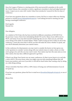Since the League of Nations is a starting point of the most powerful committee in the world, the United Nations, this committee is surely a significant committee to deal and judge historical issues. I expect you to come with 'creative' ideas from 'productive' research for this two days of conference.

If you have any questions about our committee or issues, feel free to contact either my chairing partners or myself (hwseo19@pupils@nlcsjeju.kr). I am looking forward to meeting you and having a meaningful conference.

Kind regards, Hannah Seo

Dear delegates,

As a student in NLCS Jeju who has been involved in different committees of GECMUN for the previous 3 years, I know how intimidating Model UN can be. Many of you will be new to MUN, and many of you may find yourself wondering who you are, where you are, and what you're doing in the midst of a heated debate. While I will be trying my best to help you all in this conference, I must also stress that it will be you that will make the choice whether to speak, and you who'll ultimately determine your nation's stance.

In this conference for disarmament, you may want to consider the factors we have given you in the 'questions to consider' section along with your nation's stance to make a choice on what you're going to do, and who you may want to meet. Your nation may have the same aims as every other nation, but may take a different approach to get there.

If there's one thing i have learnt over my many conferences, it's that it never hurts to try and take a risk in MUN. You never know when you might come up with something brilliant that will boost your position, and even if you don't, it will still be much better than wasting a day by sitting on a desk doing nothing.

Always remember that there will be a 100% chance of losing your self determination if you do not speak up.

If you have any questions, please feel free to email me at jhwankim20@pupils.nlcsjeju.kr or one of us chairs.

Jihwan Kim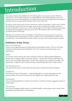## Introduction

The League of Nations was established in 1919, following the fourteen points raised by Woodrow Wilson in the 1919 Versailles Settlement. By tackling different social and humanitarian issues, and settling down various territorial disputes, the League had promoted various approaches and attempts to maintain collective security until the outbreak of the Second World War.

The absence of the major powers, however, limited the activities of the league to a great extent. Without the United States and Soviet Union, the league was powerless in forcing strong military sanctions. Because strong military actions were crucial to halt the aggressors, the League of Nations was powerless in dealing with strong aggressors that arose in the 1930s. The outbreak of the Second World War revealed the failure of the league.

Although unsuccessful, the LON is meaningful to World History because it was the very first form of an intergovernmental organization. It acted as a guidance for the United Nations to abide by, and provided hope to the international society that collective security can be reached if nations cooperate.

## **Definition of Key Terms**

Treaty Of Versailles

A peace treaty signed between the Triple Entente (Great Britain, France, USA) in 1919 Paris Conference following the First World War (1914-18). Germany was forced to pay severe repatriations.

#### MAIN

An acronym used to refer to the causes of the first world war, which included Militarism the idea that a stronger military was good, Alliances - the idea that nations would help each other if one was invaded, Imperialism - the idea that colonies were a symbol of strength , and Nationalism- simply the idea of people having a strong identity about their origin country.

SELF DETERMINATION

The idea that the people of each nation have the choice to determine their own destiny.

#### **LEBENSRAUM**

The German term for 'living space'-- a Nazi foreign policy to acquire living space for the German people. This term was used to the Nazi regime's aim to gain land in the east.

Appeasement

The act of making political or material concessions or sacrifices towards an aggressive power to avoid conflict.

#### CONTAINMENT

The action of keeping a hostile nation or an ideal (usually a social system in this context) from spreading by placing a limit in its boundaries.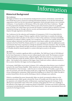## Information

## **Historical Background**

#### The Conference

The league of Nations was an international, headquartered in Geneva, Switzerland, created after the First World War to prove a forum for resolving international disputes. It was the first international organization which was the first international organization whose principal mission was to maintain world peace. It was founded on 10th January 1920 as the results of the Peace Conference. Though it is first proposed by President Woodrow Wilson as part of his Fourteen points for an equitable peace in Europe, the United States never became the member. It primary goals as stated its Covenant, included preventing war through collective security and disarmament and setting international disputes through negotiation and arbitration.

The Conferences for the reduction and Limitation of Armaments of 1932-34 was failed effort by member states of the League of Nations, together with the United States to actualize the ideology of disarmament which took place in the Geneva to 1934. In this conference, Germany immediately demanded to be allowed 'military equality' for it would leave. The French were equally insistent that German military inferiority was their only insurance from future conflict as serious as they had endured in the First World War. Britain and the U.S. were unprepared to offer the additional security commitments that France requested in exchange for limitation of French armament. After 10 months of negotiations, France,Britain and Italy announced, Germany and other states disarmed by the Treaty of Versailles should be insured equality in a system which gives security to all nations.

#### The World

The years 1933-4 marked a significant shift in world affairs. The Wall Street Crash of 1929 followed by the Great Depression in America was now influencing the entire world. The European economy, largely dependent on American loans, collapsed together with that of America. A serious level of economic depression made the member nations of the league to only focus on their own domestic affairs-- this resulted in the weakness of the league. States could never achieve collective security in this occasion; therefore, the league was becoming powerless.

In Germany, Adolf Hitler rose to power in January 1933, ending more than thirteen years of political turmoil in the weak Weimar Republic. Hitler started to run an authoritarian and totalitarian state-- The Third Reich or Nazi Germany-- under his aim to revoke the Treaty of Versailles, acquire living space for Germans, and unite all German people into a single Reich. By using the Reichstag fire as an excuse of blaming the communists, Hitler passed the Enabling Act in March 1933, Hitler was able to position himself above the law and the Reichstag so that he could gain more authority.

While he consolidated his power domestically, Hitler was slowly increasing his influence in the international society. Hitler openly criticized the Treaty of Versailles and, at the same time, drove for expansion as he adopted the policy of lebensraum: acquiring living space for Germans. To the allied powers and member states of the LON, Germany acting against the TOV was a challenge to the authority of the league and a conspicuous threat to themselves. Germany was secretly conducting rearmament and planning the annexation of the Eastern frontier-- this was an international threat and a priority for the league to solve.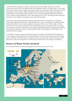Another threat to the league was Japan. At the start of the 1930s, Japan experienced a serious economic downturn due to the impact of the Great Depression and its economic policy. To save itself from such a serious economic depression, Japan needed a new proportion of land and that was China. In September 1931, Japanese soldiers claimed that the Manchurian railroad Japan controlled was sabotaged by Chinese soldiers. Japan used this excuse to attack and invade Manchuria in February 1932. As Japan invaded Shanghai in 1932, China appealed to the LON. The league decided that Japan should leave, but it failed to stop Japan because Japan left the league.

Soviet Union was steadily growing its influence during the period. It maintained a complicated relationship with Britain and France: Although Hitler was a threat, the allied powers ended up being lenient upon Hitler to act as a barrier against communism. There was no visible conflict or clash between the Soviets and the allied powers, but underlying tensions were present. Stalin encouraged the communist parties all around the world to oppose and eliminate other left wing groups, including political parties and labor unions. By initiating the Popular Front Program in 1934, Stalin strictly opposed the fascist regimes.

In the 1930s, it became conspicuous that the league was not able to effectively deal with aggressors; it was failing. As dominant powers of the league, Britain and France were having a series of domestic issues so that they were barely able to consider collective security and the works of the league. With the absence of the two strong powers, United States and Soviet Union, the league was powerless.

### **Stances of Major Parties Involved**

We recommend that you check the geographical location of your nation for 1933.

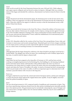#### **CHILE**

Chile was hit severely by the Great Depression between the years 1930 and 1932. Chile's saltpetre and copper exports collapsed, and was forced to reduce its imports. Although Chile was a member nation of the league and attended the conference, disarmament was barely an issue for them to heavily consider.

#### **CHINA**

Hugely threatened and slowly dominated by Japan, the dominant power in the far East and its close neighbor, China was supportive not only in the disarmament of Germany but also the weakening of Japan. China also called for the support of collective security so that the international society could protect China from threats.

#### France

France was severely hit by Germany in the Great War. Hence, it feared the military of Germany more than any other nations; Clemenceau, for example, tried to impose a strong sanction against Germany in the 1919 Versailles settlement. Keeping in line, France insisted that Germany should remain weak and 'security must precede disarmament.' France called the establishment of an international police force before disarming each nation.

#### ITALY

In July 1933, Mussolini called for the creation of the Four Power Pact among Britain, France, Italy, and Germany to ensure peace and security among Europe. Mussolini's goal was to form a league consisting of a few major powers. In the pact, he also respected the right for Germany in terms of rearmament; he was on a stance more of rearming Germany to an international standard.

#### **JAPAN**

Although Japan left the league during the conference, the chairs decided to put Japan on the list for a fruitful debate. The delegate may choose its stance, but considering the scale of military Japan had at that time, it would be hard for Japan to disarm itself.

#### **GERMANY**

Adolf Hitler has just been assigned as the chancellor of Germany in 1933, and has been actively working on strengthening his power by the Reichstag Fire, the Enabling Act, the banning of political parties and trade unions which could introduce other political ideals. He seems very keen on rearmament as he claims that he is unable to protect his nation when the surrounding nations are also armed, and claims the Treaty of Versailles to be unfair. As much as Germany has been a strong nation which was previously in the center of conflict, it will be an important aspect to determine how it will maintain a peaceful relation with everyone in the long term.

#### PORTUGAL

Portugal is relatively far away from the central and western European nations, and has just undergone a coup by the fascists which replaced the original democratic republic. It may be slightly concerned about the political instability in Spain.

#### **SPAIN**

The new elected government in 1931 composed mainly of republicans and communists in Spain. They have been experiencing continuous threats from the other parties including fascists internally, partially due to the nation's poverty. The government may be worried after witnessing the coup in Portugal, and may want to have a stronger military force for internal stability, while they may be more indifferent to foreign relations.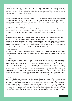#### **AUSTRIA**

Austria is a nation directly touching Germany on its north, and may be concerned that Germany may attack or attempt an anschluss in the near future if armed. They may have to choose whether they will vote to disarm everyone, or keep everyone armed. Internally, they have also experienced some turmoil through the Austrian civil war in 1933-1934.

#### **HUNGARY**

Hungary was a new state created from the end of World War 1 based on the idea of self determination, but continued to go through one government after another with a communist government,an anticommunist government, and monarchy until it settled with a right wing government. They have been one of the closest Axis powers up to this point.

#### Abyssinia (Ethiopian Empire)

Abyssinia has been one of the last nations in Africa that have not been colonised yet by a European nation, and has undergone war with Italy in 1895 which they successfully defended their nation. Its independence has continuously been threatened over time by many European nations.

#### **ARGENTINA**

By the beginning of World War II, Argentina had a significant population of ethnic Germans. One area where they were particularly prominent was Misiones Province, Argentina's Northeastern panhandle bordering on Paraguay and Brazil. It is estimated that by the early 1940s, there were around 10,000 ethnic Germans in Misiones, out of the province's total population of 190,000.With the rise of Nazism in Germany, Nazi agents started active propaganda work among the ethnic Germans living in Argentina, with Nazi-organized meetings reportedly held as early as 1933.

#### United Kingdom

At the World Disarmament Conference in Geneva, the British - sensitive to their new vulnerabilities tried unsuccessfully to prohibit strategic aerial bombardment, distinguishing "tactical" from "strategic" emerged as a contentious issue.

#### **AUSTRALIA**

In 1929, the Great Depression crushed a country already on its back. By 1932, more than 30 percent of German workers in Australia were unemployed. Speck ran a small electrical-contracting company. It went bankrupt, taking the boss and his 21 workers into the streets. For Speck it was the last straw. He was fed up with the limitations of his life and his country. The same frustration drove many Germans to the guttural siren song of Adolf Hitler. It drove Speck over the horizon. In the strange bubble world he would live in for the next seven and a half years he would brush up against Germany's new keepers briefly, fly a swastika, and at least once seek out the Nazis' financial help. As with so many Germans of his era, the full story of his political leanings will probably never be known. But in 1932, Oskar Speck seemed without any politics at all. "All I wanted was to get out of Germany," he said later.

#### **BELGIUM**

Upon the official Belgian withdrawal from the Western Alliance, the Belgians refused to engage in any official staff meetings with the French or British military staff for fear of compromising its neutrality. The Belgians did not regard a German invasion as inevitable and were determined that if an invasion did take place it would be effectively resisted by new fortifications. The Belgians had taken measures to reconstruct their defences along the border with the German state upon Adolf Hitler's rise to power in January 1933. The Belgian government had watched with increasing alarm the German withdrawal from the League of Nations, its repudiation of the Treaty of Versailles and its violation of the Locarno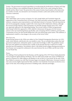Treaties. The government increased expenditure on modernising the fortifications at Namur and Liège. New lines of defence were established along the Maastricht–Bois-le-Duc canal, joining the Meuse, Scheldt and the Albert Canal. The protection of the eastern frontier, based mainly on the destruction of a number of roads, was entrusted to new formations (frontier cyclist units and the newly formed Chasseurs Ardennais).

#### SOVIET UNION

After Adolf Hitler came to power on January 30, 1933, Joseph Stalin and Vyacheslav began the suppression of the Communist Party of Germany. The Nazis took police measures against Soviet trade missions, companies, press representatives, and individual citizens in Germany. They also launched an anti-Soviet propaganda campaign coupled with a lack of good will in diplomatic relations, although the German Foreign Ministry under Konstantin von Neurath (foreign minister from 1932–1938) was vigorously opposed to the impending breakup. The second volume of Hitler's programmatic Mein Kampf (which first appeared in 1926) called for Lebensraum (living space for the German nation) in the east (mentioning Russia specifically), and, in keeping with his worldview, portrayed the Communists as Jews (see also Jewish Bolshevism) who were destroying a great nation. This ambition, if implemented, would be a clear danger to the security of the Soviet Union.

#### New Zealand

People fleeing Nazism in the 1930s were subject to New Zealand's Immigration Restriction Act 1931, under which officials could decide who was suitable to enter. The act excluded aliens unless they had guaranteed employment, substantial capital, or particular knowledge or skills. The guidelines meant that most who applied were declined entry, usually on the grounds that they would not be readily absorbed into the population. Nevertheless, about 1,100 mainly Jewish refugees fleeing persecution in Nazi Europe were accepted for settlement in the years between the rise of Hitler and the start of the Second World War.

#### Persia

The shelling of Iran's parliament by the Russians, and the signing of the 1919 Treaty, firmly planted the roots of suspicion against Britain and Russia. This was while many people were aware of Wilhelm II's speech in Damascus in 1898 calling on all Muslims to rely on him as a true friend. By the early 1930s, Reza Pahlavi's economic ties with Nazi Germany began worrying the Allied states. Germany's modern state and economy highly impressed the Shah, and there were hundreds of Germans involved in every aspect of the state, from setting up factories to building roads, railroads and bridges.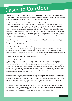# Cases to Consider

#### **Successful Disarmament Cases and cases of protecting Self Determination**

Although you will not be able to reference the following cases, you can use them to predict the actions of other nations and come up with new tactics based on these examples.

#### Satellite states of the Soviet Union and its disarmament (1992-1991)

The process of establishing the 'buffer zone' of the Soviet Union is in many ways similar to Nazi-Germany's expansion to the East except that in the former, the western nations were actually able to protect some nations such as Greece from falling against the aggressor nation.Although there are several geographical differences, it may be a good idea to see how this was done and see if it could be applied to guarantee the security of weak nations surrounded by aggressor nation. To do this, you may want to see how the western powers used 'Containment' towards the Soviet Union in locations such as Korea, Germany, and Greece to see whether aggressor nations such as Germany could also be contained if they choose to attack.

You will also want to see how the Soviet Union was able to end the cold war in 1991 peacefully by proclaiming the independence of its satellite states under its own will, and consider what non-war factors may have resulted in this.

#### 2018 North Korea - United States Summit (2018)

The North Korea-United States Summit is an ongoing example in which a leader in a dictatorship country is undergoing disarmament by negotiations. You will also be able to analyse Kim Jong Un before coming to the negotiation table can also be analysed to try and understand what the leaders of aggressor nations may be thinking, and what makes them pursue aggressive foreign policies.

### **Past Cases of the Outbreak of Warfare.**

#### World War 1 (1914 - 1918)

One of the major long term causes for the outbreak of World War 1 can be seen in the idea of Militarism, where nations built large armies for both defence and for aggression to fulfill their national interests. Many nations extended their military by methods such as universal conscription as a part of an arms race, or in order to strengthen their defences against the other nations. The idea of a cycle where other nations strengthen their military as a reaction to the expansion of the military in another nation has lead to the first world war to expand greatly in scale, and may have to be resolved in order to prevent another buildup to a war.

Alliances have been seen as another major cause that has spread a small conflict between 2 nations into a large scale war. The First world war had initially started from a small conflict between Serbia and Austria-Hungary due to the assassination of the Austrian emperor Franz-Ferdinand,but expanded as germany and Italy in the triple alliance and Great Britain, France and Russia in the triple entente joined the war due to alliances with Serbia and Austria-Hungary.

It is therefore going to be important for nations to try and figure out how other nations consider alliances after the war, and see if an alliance is going to encourage them to stop a war or start a war. can not be seen as equivalent to Nazi-Germany, nations may be able to investigate on why the war did not grow into a full scale conflict between the Soviet Union and the United States.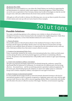#### The Korean War (1950)

The Korean war can be looked at as a case where the United Nations was involved in supporting the self determination of a relatively weaker nation against a determined aggressor. While North Korea can not be seen as equivalent to Nazi-Germany, nations may be able to investigate on why the war did not grow into a full scale conflict between the Soviet Union and the United States.

Although you will not be able to reference the following cases, you can use them to predict the actions of other nations and come up with new tactics based on these examples.

## Solutions

### **Possible Solutions**

Two major contradicting opinions in the conference were whether to disarm all nations to the standard of Germany or rearm Germany back to the standard of its neighboring powers. Under these two different approaches, we have listed detailed solutions for each occasions.

#### 1. Disarm all nations

One possible solution is that all nations disarm to the standard of Germany so that it is fair for Germany and all weapon and military threats come to an end. However, because there are huge obstacles to just suddenly disarm all nations, it is important that the international society comes up with a third-party military force that exists to ensure collective security.

#### 2. Creation of an international Police Force

France, in particular, insisted for the creation of an international police force which can both ensure security among all nations and check potential aggressors and threats to maintaining collective security. The presence of an international force will possibly result in nations to agree upon disarming themselves.

#### 3. A short-term mandatory military conscription

This plan was proposed and largely supported by the British during the conference, named The MacDonald Plan for Reduction of Armaments. It is divided into two different parts: the first being effectives-- the armed forces-- and the second being materiel, equivalent to physical equipment. For the former part, MacDonald proposes the adoption of a short-term militia system in continental Europe and to initiate compulsory military conscription for men aged 18 and above.

#### 4. Rearm Germany to international standard

It is also possible that the league decides to rearm the formerly disarmed Germany to the level of international standard so that it is properly recognized as a legitimate nation and a state with the right to protect itself. However, there will be concerns regarding whether Hitler is trustworthy and whether this will achieve the aims of collective security of the league. Therefore, several measures regarding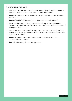### **Questions to Consider**

- What would be more significant between support from the public or support from other nations to make your nation's opinions influential?
- How can alliances be used to contain war rather than expand them as it did in world war 1?
- How has World War 1 impacted your nation's international policies?
- If you have domestic conflicts, how may that affect your position towards disarmament? Could you use the disarmament conference to limit the power of your opponents?
- What is your nation's geographical location in the map? How may that affect your nation's stance on disarmament? On the same note, how may it affect the imposing of sanctions?
- How can a nation solve the dilemma between domestic security and international disarmament?
- How will nations stop determined aggressors?